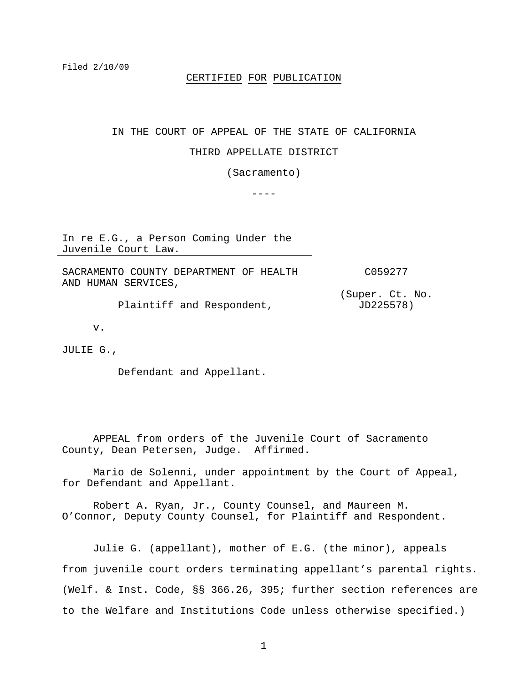## CERTIFIED FOR PUBLICATION

### IN THE COURT OF APPEAL OF THE STATE OF CALIFORNIA

## THIRD APPELLATE DISTRICT

(Sacramento)

----

In re E.G., a Person Coming Under the Juvenile Court Law.

SACRAMENTO COUNTY DEPARTMENT OF HEALTH AND HUMAN SERVICES,

Plaintiff and Respondent,

v.

JULIE G.,

Defendant and Appellant.

C059277

(Super. Ct. No. JD225578)

 APPEAL from orders of the Juvenile Court of Sacramento County, Dean Petersen, Judge. Affirmed.

 Mario de Solenni, under appointment by the Court of Appeal, for Defendant and Appellant.

 Robert A. Ryan, Jr., County Counsel, and Maureen M. O'Connor, Deputy County Counsel, for Plaintiff and Respondent.

 Julie G. (appellant), mother of E.G. (the minor), appeals from juvenile court orders terminating appellant's parental rights. (Welf. & Inst. Code, §§ 366.26, 395; further section references are to the Welfare and Institutions Code unless otherwise specified.)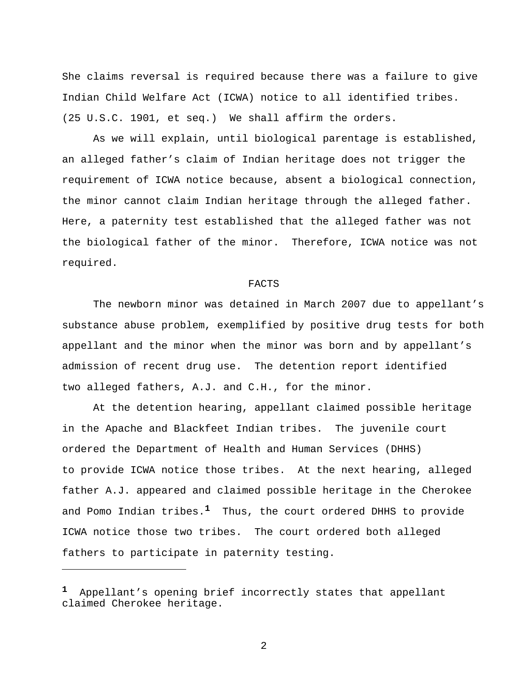She claims reversal is required because there was a failure to give Indian Child Welfare Act (ICWA) notice to all identified tribes. (25 U.S.C. 1901, et seq.) We shall affirm the orders.

 As we will explain, until biological parentage is established, an alleged father's claim of Indian heritage does not trigger the requirement of ICWA notice because, absent a biological connection, the minor cannot claim Indian heritage through the alleged father. Here, a paternity test established that the alleged father was not the biological father of the minor. Therefore, ICWA notice was not required.

#### FACTS

 The newborn minor was detained in March 2007 due to appellant's substance abuse problem, exemplified by positive drug tests for both appellant and the minor when the minor was born and by appellant's admission of recent drug use. The detention report identified two alleged fathers, A.J. and C.H., for the minor.

 At the detention hearing, appellant claimed possible heritage in the Apache and Blackfeet Indian tribes. The juvenile court ordered the Department of Health and Human Services (DHHS) to provide ICWA notice those tribes. At the next hearing, alleged father A.J. appeared and claimed possible heritage in the Cherokee and Pomo Indian tribes.**1** Thus, the court ordered DHHS to provide ICWA notice those two tribes. The court ordered both alleged fathers to participate in paternity testing.

i<br>Li

**<sup>1</sup>** Appellant's opening brief incorrectly states that appellant claimed Cherokee heritage.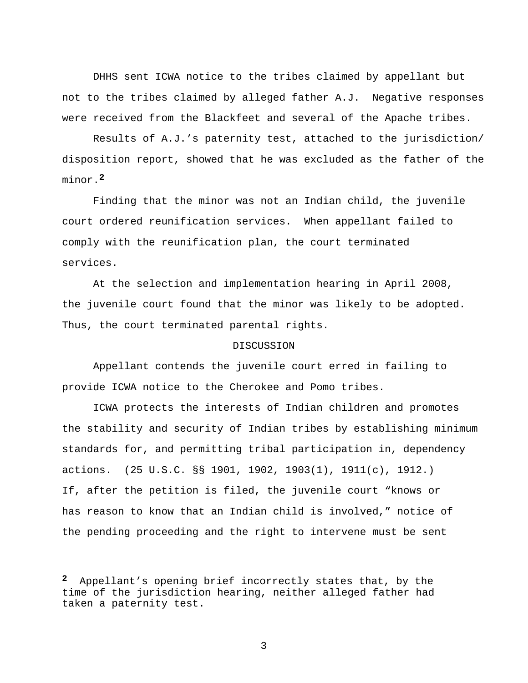DHHS sent ICWA notice to the tribes claimed by appellant but not to the tribes claimed by alleged father A.J. Negative responses were received from the Blackfeet and several of the Apache tribes.

 Results of A.J.'s paternity test, attached to the jurisdiction/ disposition report, showed that he was excluded as the father of the minor.**<sup>2</sup>**

 Finding that the minor was not an Indian child, the juvenile court ordered reunification services. When appellant failed to comply with the reunification plan, the court terminated services.

 At the selection and implementation hearing in April 2008, the juvenile court found that the minor was likely to be adopted. Thus, the court terminated parental rights.

## DISCUSSION

 Appellant contends the juvenile court erred in failing to provide ICWA notice to the Cherokee and Pomo tribes.

 ICWA protects the interests of Indian children and promotes the stability and security of Indian tribes by establishing minimum standards for, and permitting tribal participation in, dependency actions. (25 U.S.C. §§ 1901, 1902, 1903(1), 1911(c), 1912.) If, after the petition is filed, the juvenile court "knows or has reason to know that an Indian child is involved," notice of the pending proceeding and the right to intervene must be sent

 $\overline{\phantom{0}}$ 

**<sup>2</sup>** Appellant's opening brief incorrectly states that, by the time of the jurisdiction hearing, neither alleged father had taken a paternity test.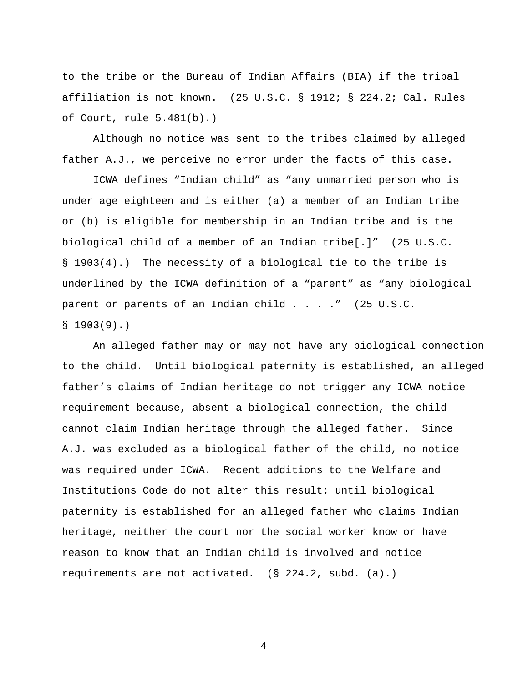to the tribe or the Bureau of Indian Affairs (BIA) if the tribal affiliation is not known. (25 U.S.C. § 1912; § 224.2; Cal. Rules of Court, rule 5.481(b).)

 Although no notice was sent to the tribes claimed by alleged father A.J., we perceive no error under the facts of this case.

 ICWA defines "Indian child" as "any unmarried person who is under age eighteen and is either (a) a member of an Indian tribe or (b) is eligible for membership in an Indian tribe and is the biological child of a member of an Indian tribe[.]" (25 U.S.C. § 1903(4).) The necessity of a biological tie to the tribe is underlined by the ICWA definition of a "parent" as "any biological parent or parents of an Indian child . . . ." (25 U.S.C.  $$1903(9).$ 

 An alleged father may or may not have any biological connection to the child. Until biological paternity is established, an alleged father's claims of Indian heritage do not trigger any ICWA notice requirement because, absent a biological connection, the child cannot claim Indian heritage through the alleged father. Since A.J. was excluded as a biological father of the child, no notice was required under ICWA. Recent additions to the Welfare and Institutions Code do not alter this result; until biological paternity is established for an alleged father who claims Indian heritage, neither the court nor the social worker know or have reason to know that an Indian child is involved and notice requirements are not activated. (§ 224.2, subd. (a).)